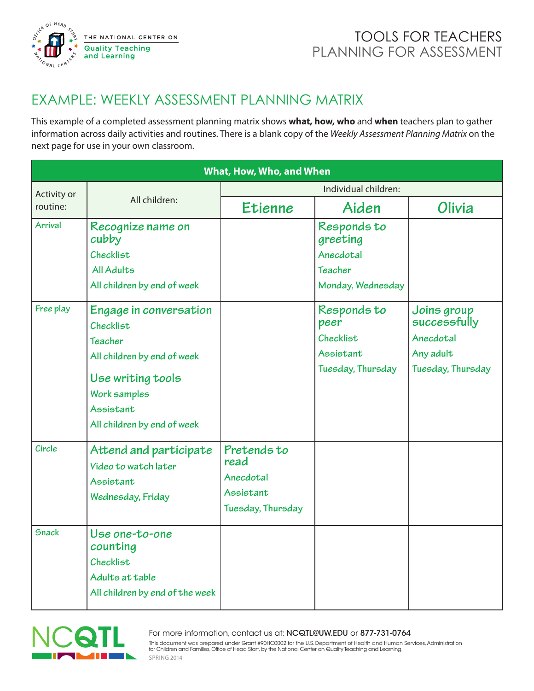

## TOOLS FOR TEACHERS PLANNING FOR ASSESSMENT

## EXAMPLE: WEEKLY ASSESSMENT PLANNING MATRIX

This example of a completed assessment planning matrix shows **what, how, who** and **when** teachers plan to gather information across daily activities and routines. There is a blank copy of the *Weekly Assessment Planning Matrix* on the next page for use in your own classroom.

| What, How, Who, and When |                                                                                                              |                                                                    |                                               |                                                       |  |  |  |
|--------------------------|--------------------------------------------------------------------------------------------------------------|--------------------------------------------------------------------|-----------------------------------------------|-------------------------------------------------------|--|--|--|
| Activity or<br>routine:  | All children:                                                                                                | Individual children:                                               |                                               |                                                       |  |  |  |
|                          |                                                                                                              | Etienne                                                            | Aiden                                         | Olivia                                                |  |  |  |
| <b>Arrival</b>           | Recognize name on<br>cubby                                                                                   |                                                                    | Responds to<br>greeting                       |                                                       |  |  |  |
|                          | Checklist                                                                                                    |                                                                    | Anecdotal                                     |                                                       |  |  |  |
|                          | All Adults                                                                                                   |                                                                    | Teacher                                       |                                                       |  |  |  |
|                          | All children by end of week                                                                                  |                                                                    | Monday, Wednesday                             |                                                       |  |  |  |
| Free play                | Engage in conversation<br>Checklist<br>Teacher                                                               |                                                                    | Responds to<br>peer<br>Checklist<br>Assistant | Joins group<br>successfully<br>Anecdotal<br>Any adult |  |  |  |
|                          | All children by end of week<br>Use writing tools<br>Work samples<br>Assistant<br>All children by end of week |                                                                    | Tuesday, Thursday                             | Tuesday, Thursday                                     |  |  |  |
| Circle                   | Attend and participate<br>Video to watch later<br>Assistant<br>Wednesday, Friday                             | Pretends to<br>read<br>Anecdotal<br>Assistant<br>Tuesday, Thursday |                                               |                                                       |  |  |  |
| <b>Snack</b>             | Use one-to-one<br>counting<br>Checklist<br>Adults at table<br>All children by end of the week                |                                                                    |                                               |                                                       |  |  |  |



For more information, contact us at: NCQTL@UW.EDU or 877-731-0764<br>This document was prepared under Grant #90HC0002 for the U.S. Department of Health and Human Services, Administration<br>for Children and Families, Office of H For more information, contact us at: NCQTL@UW.EDU or 877-731-0764 SPRING 2014